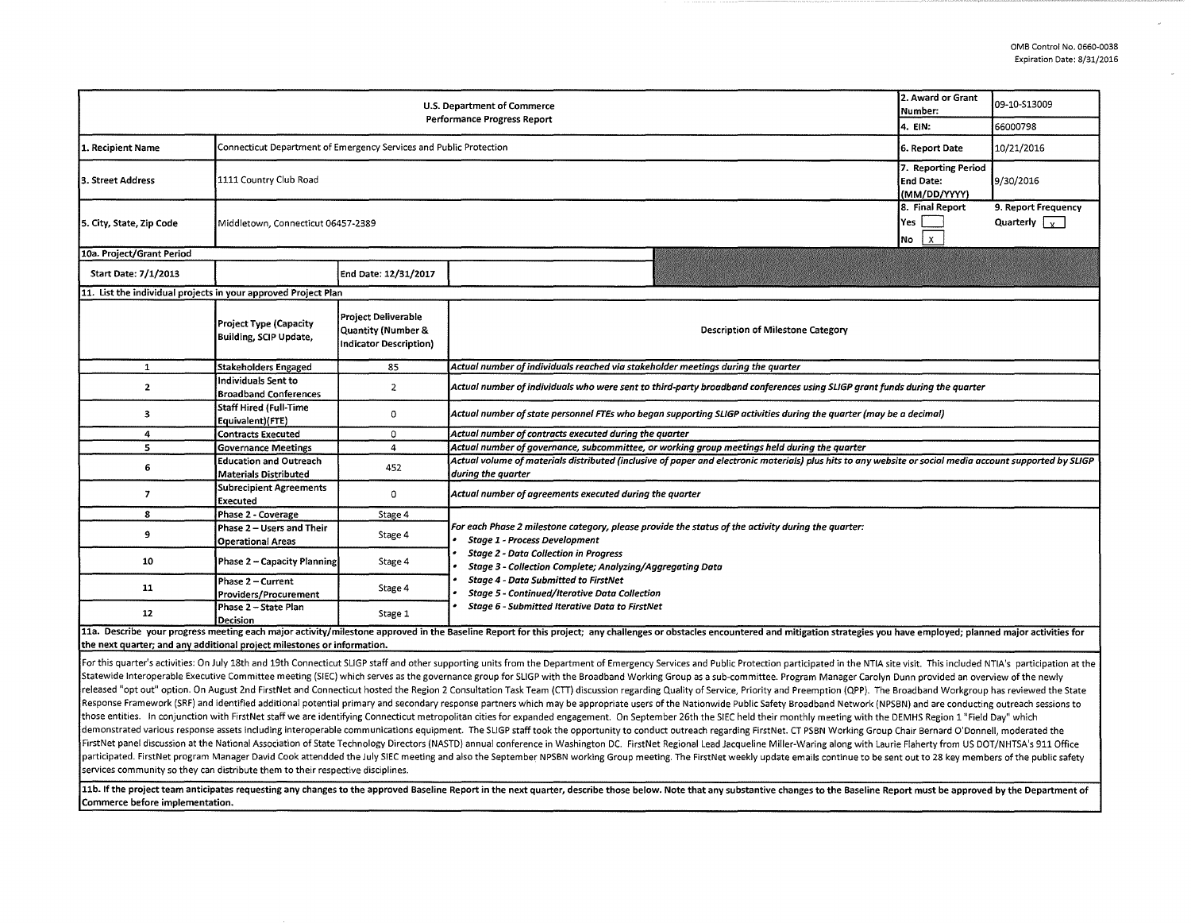| 2. Award or Grant<br>U.S. Department of Commerce<br>Number:<br><b>Performance Progress Report</b> |                                                                    |                                                                                              |                                                                                                                                                                                                                                                                                                                                                                                                           |  | 09-10-S13009 |  |  |  |  |
|---------------------------------------------------------------------------------------------------|--------------------------------------------------------------------|----------------------------------------------------------------------------------------------|-----------------------------------------------------------------------------------------------------------------------------------------------------------------------------------------------------------------------------------------------------------------------------------------------------------------------------------------------------------------------------------------------------------|--|--------------|--|--|--|--|
|                                                                                                   | 4. EIN:                                                            | 66000798                                                                                     |                                                                                                                                                                                                                                                                                                                                                                                                           |  |              |  |  |  |  |
| 1. Recipient Name                                                                                 | Connecticut Department of Emergency Services and Public Protection | 6. Report Date                                                                               | 10/21/2016                                                                                                                                                                                                                                                                                                                                                                                                |  |              |  |  |  |  |
| 3. Street Address                                                                                 | 1111 Country Club Road                                             | 7. Reporting Period<br><b>End Date:</b><br>(MM/DD/YYYY)                                      | 9/30/2016                                                                                                                                                                                                                                                                                                                                                                                                 |  |              |  |  |  |  |
| 5. City, State, Zip Code                                                                          | Middletown, Connecticut 06457-2389                                 | 8. Final Report<br>Yes<br>$\vert x \vert$<br>No                                              | 9. Report Frequency<br>Quarterly $\sqrt{v}$                                                                                                                                                                                                                                                                                                                                                               |  |              |  |  |  |  |
| 10a. Project/Grant Period                                                                         |                                                                    |                                                                                              |                                                                                                                                                                                                                                                                                                                                                                                                           |  |              |  |  |  |  |
| Start Date: 7/1/2013                                                                              |                                                                    | End Date: 12/31/2017                                                                         |                                                                                                                                                                                                                                                                                                                                                                                                           |  |              |  |  |  |  |
| 11. List the individual projects in your approved Project Plan                                    |                                                                    |                                                                                              |                                                                                                                                                                                                                                                                                                                                                                                                           |  |              |  |  |  |  |
|                                                                                                   | <b>Project Type (Capacity</b><br>Building, SCIP Update,            | <b>Project Deliverable</b><br><b>Quantity (Number &amp;</b><br><b>Indicator Description)</b> | <b>Description of Milestone Category</b>                                                                                                                                                                                                                                                                                                                                                                  |  |              |  |  |  |  |
| 1                                                                                                 | <b>Stakeholders Engaged</b>                                        | 85                                                                                           | Actual number of individuals reached via stakeholder meetings during the quarter                                                                                                                                                                                                                                                                                                                          |  |              |  |  |  |  |
| $\overline{2}$                                                                                    | Individuals Sent to<br><b>Broadband Conferences</b>                | $\overline{2}$                                                                               | Actual number of individuals who were sent to third-party broadband conferences using SLIGP grant funds during the quarter                                                                                                                                                                                                                                                                                |  |              |  |  |  |  |
| $\overline{\mathbf{3}}$                                                                           | <b>Staff Hired (Full-Time</b><br>Equivalent)(FTE)                  | 0                                                                                            | Actual number of state personnel FTEs who began supporting SLIGP activities during the quarter (may be a decimal)                                                                                                                                                                                                                                                                                         |  |              |  |  |  |  |
| 4                                                                                                 | <b>Contracts Executed</b>                                          | 0                                                                                            | Actual number of contracts executed during the quarter                                                                                                                                                                                                                                                                                                                                                    |  |              |  |  |  |  |
| 5                                                                                                 | <b>Governance Meetings</b>                                         | $\overline{4}$                                                                               | Actual number of governance, subcommittee, or working group meetings held during the quarter                                                                                                                                                                                                                                                                                                              |  |              |  |  |  |  |
| 6                                                                                                 | <b>Education and Outreach</b><br><b>Materials Distributed</b>      | 452                                                                                          | Actual volume of materials distributed (inclusive of paper and electronic materials) plus hits to any website or social media account supported by SLIGP<br>during the quarter                                                                                                                                                                                                                            |  |              |  |  |  |  |
| 7                                                                                                 | <b>Subrecipient Agreements</b><br><b>Executed</b>                  | 0                                                                                            | Actual number of agreements executed during the quarter                                                                                                                                                                                                                                                                                                                                                   |  |              |  |  |  |  |
| 8                                                                                                 | Phase 2 - Coverage                                                 | Stage 4                                                                                      |                                                                                                                                                                                                                                                                                                                                                                                                           |  |              |  |  |  |  |
| 9                                                                                                 | Phase 2 - Users and Their<br><b>Operational Areas</b>              | Stage 4                                                                                      | For each Phase 2 milestone category, please provide the status of the activity during the quarter:<br><b>Stage 1 - Process Development</b><br><b>Stage 2 - Data Collection in Progress</b><br>Stage 3 - Collection Complete; Analyzing/Aggregating Data<br><b>Stage 4 - Data Submitted to FirstNet</b><br>Stage 5 - Continued/Iterative Data Collection<br>Stage 6 - Submitted Iterative Data to FirstNet |  |              |  |  |  |  |
| 10                                                                                                | Phase 2 - Capacity Planning                                        | Stage 4                                                                                      |                                                                                                                                                                                                                                                                                                                                                                                                           |  |              |  |  |  |  |
| 11                                                                                                | Phase 2 - Current<br>Providers/Procurement                         | Stage 4                                                                                      |                                                                                                                                                                                                                                                                                                                                                                                                           |  |              |  |  |  |  |
| 12                                                                                                | Phase 2 - State Plan<br>Decision                                   | Stage 1                                                                                      |                                                                                                                                                                                                                                                                                                                                                                                                           |  |              |  |  |  |  |
| the next quarter; and any additional project milestones or information.                           |                                                                    |                                                                                              | 11a. Describe your progress meeting each major activity/milestone approved in the Baseline Report for this project; any challenges or obstacles encountered and mitigation strategies you have employed; planned major activit                                                                                                                                                                            |  |              |  |  |  |  |

For this quarter's activities: On July 18th and 19th Connecticut SLIGP staff and other supporting units from the Department of Emergency Services and Public Protection participated in the NTIA site visit. This included NTI Statewide Interoperable Executive Committee meeting (SIEC) which serves as the governance group for SLIGP with the Broadband Working Group as a sub-committee. Program Manager Carolyn Dunn provided an overview of the newly released "opt out" option. On August 2nd FirstNet and Connecticut hosted the Region 2 Consultation Task Team (CTT) discussion regarding Quality of Service, Priority and Preemption (QPP). The Broadband Workgroup has reviewe Response Framework (SRF) and identified additional potential primary and secondary response partners which may be appropriate users of the Nationwide Public Safety Broadband Network (NPSBN) and are conducting outreach sess those entities. In conjunction with FirstNet staff we are identifying Connecticut metropolitan cities for expanded engagement. On September 26th the SIEC held their monthly meeting with the DEMHS Region 1 "Field Day" which demonstrated various response assets including interoperable communications equipment. The SLIGP staff took the opportunity to conduct outreach regarding FirstNet. CT PSBN Working Group Chair Bernard O'Donnell, moderated t FirstNet panel discussion at the National Association of State Technology Directors (NASTD) annual conference in Washington DC. FirstNet Regional Lead Jacqueline Miller-Waring along with Laurie Flaherty from US DOT/NHTSA's participated. FirstNet program Manager David Cook attendded the July SIEC meeting and also the September NPSBN working Group meeting. The FirstNet weekly update emails continue to be sent out to 28 key members of the publi services community so they can distribute them to their respective disciplines.

11b. If the project team anticipates requesting any changes to the approved Baseline Report in the next quarter, describe those below. Note that any substantive changes to the Baseline Report must be approved by the Depart Commerce before implementation.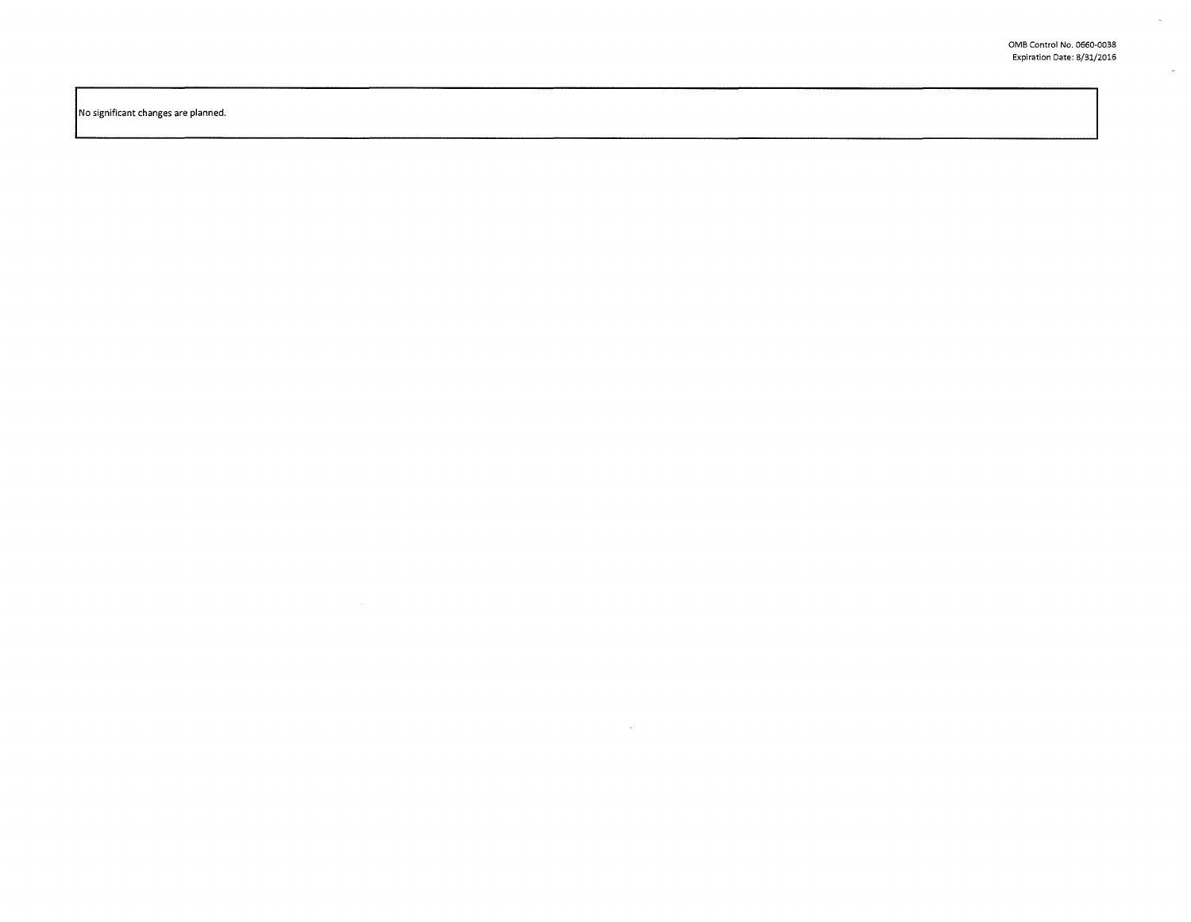$\sim 10^7$ 

 $\mathcal{L}^{\mathcal{L}}$ 

 $\sim$ 

No significant changes are planned.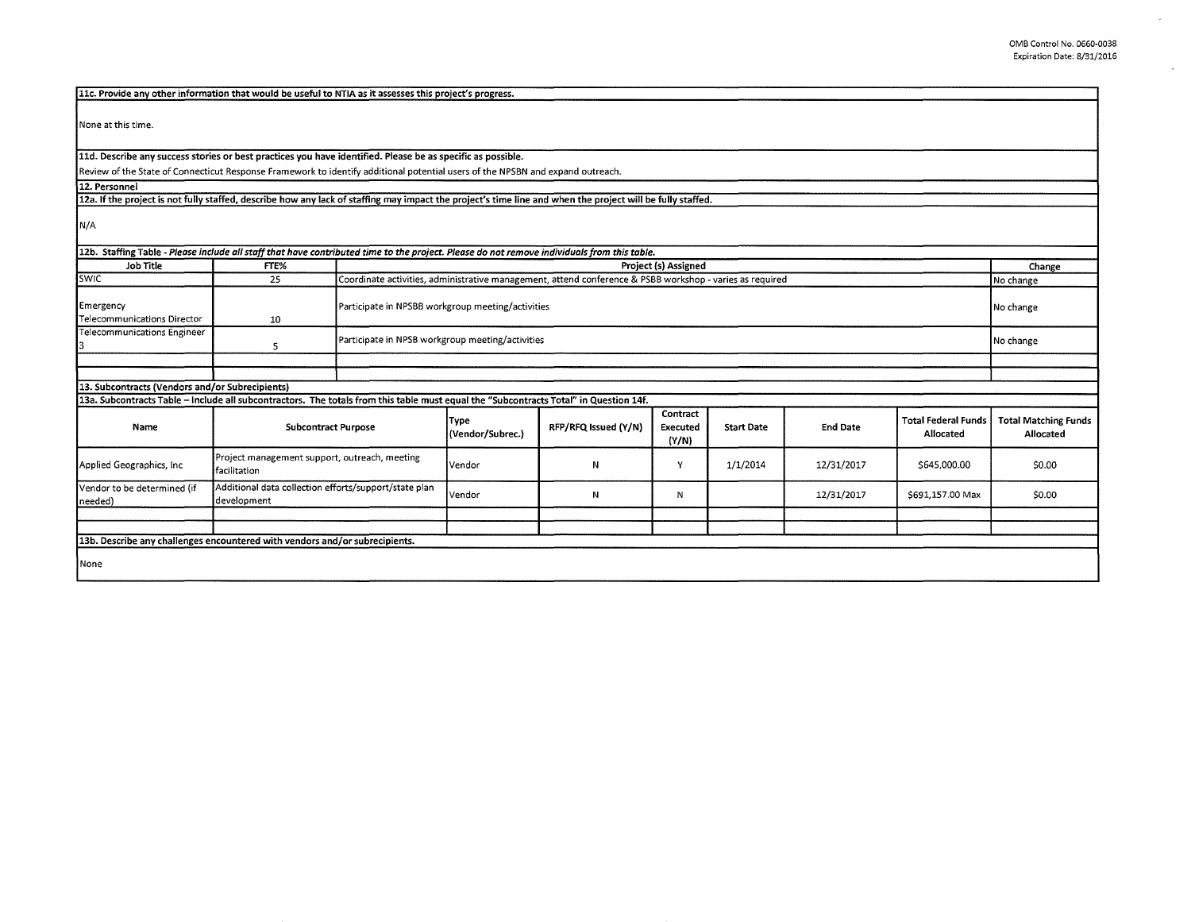$\omega$ 

 $\bar{\omega}$ 

| 11c. Provide any other information that would be useful to NTIA as it assesses this project's progress.                                                    |                                                                             |                                                                                                          |                                 |                      |                               |                   |                 |                                         |                                          |  |  |
|------------------------------------------------------------------------------------------------------------------------------------------------------------|-----------------------------------------------------------------------------|----------------------------------------------------------------------------------------------------------|---------------------------------|----------------------|-------------------------------|-------------------|-----------------|-----------------------------------------|------------------------------------------|--|--|
| None at this time.                                                                                                                                         |                                                                             |                                                                                                          |                                 |                      |                               |                   |                 |                                         |                                          |  |  |
| 11d. Describe any success stories or best practices you have identified. Please be as specific as possible.                                                |                                                                             |                                                                                                          |                                 |                      |                               |                   |                 |                                         |                                          |  |  |
| Review of the State of Connecticut Response Framework to identify additional potential users of the NPSBN and expand outreach.                             |                                                                             |                                                                                                          |                                 |                      |                               |                   |                 |                                         |                                          |  |  |
| 12. Personnel                                                                                                                                              |                                                                             |                                                                                                          |                                 |                      |                               |                   |                 |                                         |                                          |  |  |
| 12a. If the project is not fully staffed, describe how any lack of staffing may impact the project's time line and when the project will be fully staffed. |                                                                             |                                                                                                          |                                 |                      |                               |                   |                 |                                         |                                          |  |  |
| N/A                                                                                                                                                        |                                                                             |                                                                                                          |                                 |                      |                               |                   |                 |                                         |                                          |  |  |
| 12b. Staffing Table - Please include all staff that have contributed time to the project. Please do not remove individuals from this table.                |                                                                             |                                                                                                          |                                 |                      |                               |                   |                 |                                         |                                          |  |  |
| <b>Job Title</b>                                                                                                                                           | FTE%                                                                        | <b>Project (s) Assigned</b>                                                                              |                                 |                      |                               |                   |                 | Change                                  |                                          |  |  |
| SWIC                                                                                                                                                       | 25                                                                          | Coordinate activities, administrative management, attend conference & PSBB workshop - varies as required |                                 |                      |                               |                   |                 | No change                               |                                          |  |  |
| Emergency<br><b>Telecommunications Director</b>                                                                                                            | 10                                                                          | Participate in NPSBB workgroup meeting/activities                                                        |                                 |                      |                               |                   |                 | No change                               |                                          |  |  |
| <b>Telecommunications Engineer</b>                                                                                                                         | 5                                                                           | Participate in NPSB workgroup meeting/activities                                                         |                                 |                      |                               |                   |                 | No change                               |                                          |  |  |
|                                                                                                                                                            |                                                                             |                                                                                                          |                                 |                      |                               |                   |                 |                                         |                                          |  |  |
|                                                                                                                                                            | 13. Subcontracts (Vendors and/or Subrecipients)                             |                                                                                                          |                                 |                      |                               |                   |                 |                                         |                                          |  |  |
| 13a. Subcontracts Table - Include all subcontractors. The totals from this table must equal the "Subcontracts Total" in Question 14f.                      |                                                                             |                                                                                                          |                                 |                      |                               |                   |                 |                                         |                                          |  |  |
| Name                                                                                                                                                       | <b>Subcontract Purpose</b>                                                  |                                                                                                          | <b>Type</b><br>(Vendor/Subrec.) | RFP/RFQ Issued (Y/N) | Contract<br>Executed<br>(Y/N) | <b>Start Date</b> | <b>End Date</b> | <b>Total Federal Funds</b><br>Allocated | <b>Total Matching Funds</b><br>Allocated |  |  |
| Applied Geographics, Inc.                                                                                                                                  | Project management support, outreach, meeting<br>facilitation               |                                                                                                          | l Vendor                        | N                    | Υ                             | 1/1/2014          | 12/31/2017      | \$645,000.00                            | \$0.00                                   |  |  |
| Vendor to be determined (if<br>needed)                                                                                                                     | Additional data collection efforts/support/state plan<br>development        |                                                                                                          | Vendor                          | Ν                    | N                             |                   | 12/31/2017      | \$691,157.00 Max                        | \$0.00                                   |  |  |
|                                                                                                                                                            |                                                                             |                                                                                                          |                                 |                      |                               |                   |                 |                                         |                                          |  |  |
|                                                                                                                                                            | 13b. Describe any challenges encountered with vendors and/or subrecipients. |                                                                                                          |                                 |                      |                               |                   |                 |                                         |                                          |  |  |
|                                                                                                                                                            |                                                                             |                                                                                                          |                                 |                      |                               |                   |                 |                                         |                                          |  |  |
| None                                                                                                                                                       |                                                                             |                                                                                                          |                                 |                      |                               |                   |                 |                                         |                                          |  |  |